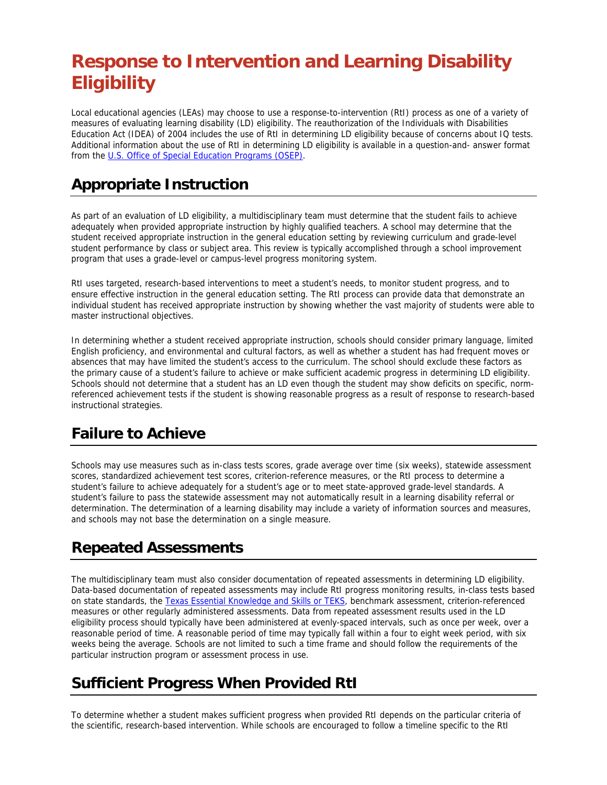# **Response to Intervention and Learning Disability Eligibility**

Local educational agencies (LEAs) may choose to use a response-to-intervention (RtI) process as one of a variety of measures of evaluating learning disability (LD) eligibility. The reauthorization of the Individuals with Disabilities Education Act (IDEA) of 2004 includes the use of RtI in determining LD eligibility because of concerns about IQ tests. Additional information about the use of RtI in determining LD eligibility is available in a question-and- answer format from the U.S. Office of Special Education Programs (OSEP).

### **Appropriate Instruction**

As part of an evaluation of LD eligibility, a multidisciplinary team must determine that the student fails to achieve adequately when provided appropriate instruction by highly qualified teachers. A school may determine that the student received appropriate instruction in the general education setting by reviewing curriculum and grade-level student performance by class or subject area. This review is typically accomplished through a school improvement program that uses a grade-level or campus-level progress monitoring system.

RtI uses targeted, research-based interventions to meet a student's needs, to monitor student progress, and to ensure effective instruction in the general education setting. The RtI process can provide data that demonstrate an individual student has received appropriate instruction by showing whether the vast majority of students were able to master instructional objectives.

In determining whether a student received appropriate instruction, schools should consider primary language, limited English proficiency, and environmental and cultural factors, as well as whether a student has had frequent moves or absences that may have limited the student's access to the curriculum. The school should exclude these factors as the primary cause of a student's failure to achieve or make sufficient academic progress in determining LD eligibility. Schools should not determine that a student has an LD even though the student may show deficits on specific, normreferenced achievement tests if the student is showing reasonable progress as a result of response to research-based instructional strategies.

#### **Failure to Achieve**

Schools may use measures such as in-class tests scores, grade average over time (six weeks), statewide assessment scores, standardized achievement test scores, criterion-reference measures, or the RtI process to determine a student's failure to achieve adequately for a student's age or to meet state-approved grade-level standards. A student's failure to pass the statewide assessment may not automatically result in a learning disability referral or determination. The determination of a learning disability may include a variety of information sources and measures, and schools may not base the determination on a single measure.

## **Repeated Assessments**

The multidisciplinary team must also consider documentation of repeated assessments in determining LD eligibility. Data-based documentation of repeated assessments may include RtI progress monitoring results, in-class tests based on state standards, the Texas Essential Knowledge and Skills or TEKS, benchmark assessment, criterion-referenced measures or other regularly administered assessments. Data from repeated assessment results used in the LD eligibility process should typically have been administered at evenly-spaced intervals, such as once per week, over a reasonable period of time. A reasonable period of time may typically fall within a four to eight week period, with six weeks being the average. Schools are not limited to such a time frame and should follow the requirements of the particular instruction program or assessment process in use.

## **Sufficient Progress When Provided RtI**

To determine whether a student makes sufficient progress when provided RtI depends on the particular criteria of the scientific, research-based intervention. While schools are encouraged to follow a timeline specific to the RtI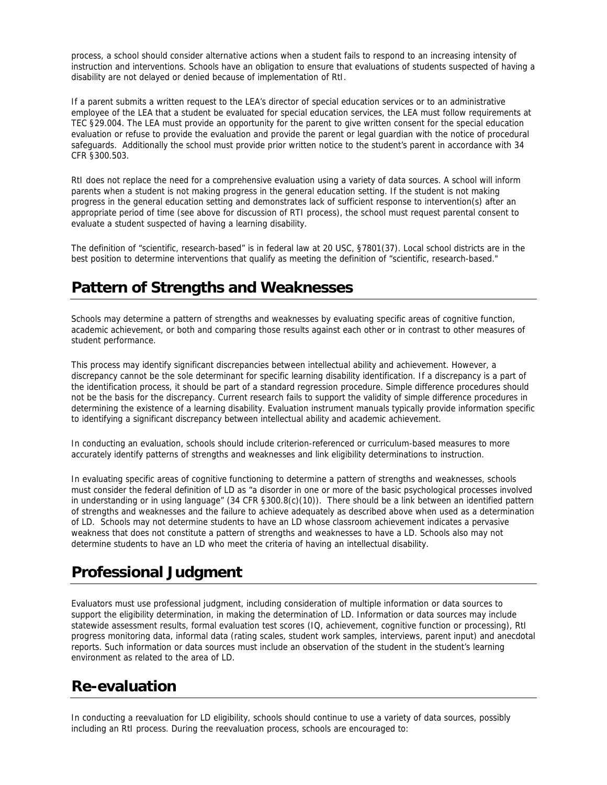process, a school should consider alternative actions when a student fails to respond to an increasing intensity of instruction and interventions. Schools have an obligation to ensure that evaluations of students suspected of having a disability are not delayed or denied because of implementation of RtI.

If a parent submits a written request to the LEA's director of special education services or to an administrative employee of the LEA that a student be evaluated for special education services, the LEA must follow requirements at TEC §29.004. The LEA must provide an opportunity for the parent to give written consent for the special education evaluation or refuse to provide the evaluation and provide the parent or legal guardian with the notice of procedural safeguards. Additionally the school must provide prior written notice to the student's parent in accordance with 34 CFR §300.503.

RtI does not replace the need for a comprehensive evaluation using a variety of data sources. A school will inform parents when a student is not making progress in the general education setting. If the student is not making progress in the general education setting and demonstrates lack of sufficient response to intervention(s) after an appropriate period of time (see above for discussion of RTI process), the school must request parental consent to evaluate a student suspected of having a learning disability.

The definition of "scientific, research-based" is in federal law at 20 USC, §7801(37). Local school districts are in the best position to determine interventions that qualify as meeting the definition of "scientific, research-based."

#### **Pattern of Strengths and Weaknesses**

Schools may determine a pattern of strengths and weaknesses by evaluating specific areas of cognitive function, academic achievement, or both and comparing those results against each other or in contrast to other measures of student performance.

This process may identify significant discrepancies between intellectual ability and achievement. However, a discrepancy cannot be the sole determinant for specific learning disability identification. If a discrepancy is a part of the identification process, it should be part of a standard regression procedure. Simple difference procedures should not be the basis for the discrepancy. Current research fails to support the validity of simple difference procedures in determining the existence of a learning disability. Evaluation instrument manuals typically provide information specific to identifying a significant discrepancy between intellectual ability and academic achievement.

In conducting an evaluation, schools should include criterion-referenced or curriculum-based measures to more accurately identify patterns of strengths and weaknesses and link eligibility determinations to instruction.

In evaluating specific areas of cognitive functioning to determine a pattern of strengths and weaknesses, schools must consider the federal definition of LD as "a disorder in one or more of the basic psychological processes involved in understanding or in using language" (34 CFR §300.8(c)(10)). There should be a link between an identified pattern of strengths and weaknesses and the failure to achieve adequately as described above when used as a determination of LD. Schools may not determine students to have an LD whose classroom achievement indicates a pervasive weakness that does not constitute a pattern of strengths and weaknesses to have a LD. Schools also may not determine students to have an LD who meet the criteria of having an intellectual disability.

#### **Professional Judgment**

Evaluators must use professional judgment, including consideration of multiple information or data sources to support the eligibility determination, in making the determination of LD. Information or data sources may include statewide assessment results, formal evaluation test scores (IQ, achievement, cognitive function or processing), RtI progress monitoring data, informal data (rating scales, student work samples, interviews, parent input) and anecdotal reports. Such information or data sources must include an observation of the student in the student's learning environment as related to the area of LD.

## **Re-evaluation**

In conducting a reevaluation for LD eligibility, schools should continue to use a variety of data sources, possibly including an RtI process. During the reevaluation process, schools are encouraged to: